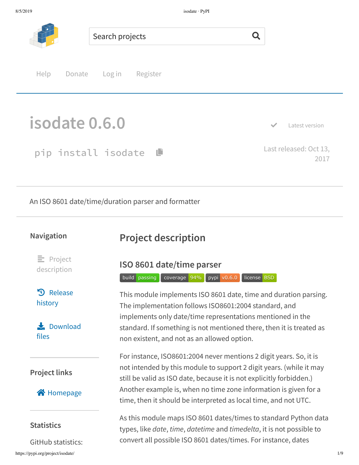

An ISO 8601 date/time/duration parser and formatter

#### **Navigation**

# **Project description**

 $\equiv$  Project description

**D** Release history

 $\bigstar$  Download files

### **Project links**

#### **合** Homepage

#### **Statistics**

https://pypi.org/project/isodate/ 1/9 GitHub statistics:

## **ISO 8601 date/time parser**

build passing coverage 94% pypi v0.6.0 license BSD

This module implements ISO 8601 date, time and duration parsing. The implementation follows ISO8601:2004 standard, and implements only date/time representations mentioned in the standard. If something is not mentioned there, then it is treated as non existent, and not as an allowed option.

For instance, ISO8601:2004 never mentions 2 digit years. So, it is not intended by this module to support 2 digit years. (while it may still be valid as ISO date, because it is not explicitly forbidden.) Another example is, when no time zone information is given for a time, then it should be interpreted as local time, and not UTC.

As this module maps ISO 8601 dates/times to standard Python data types, like *date*, *time*, *datetime* and *timedelta*, it is not possible to convert all possible ISO 8601 dates/times. For instance, dates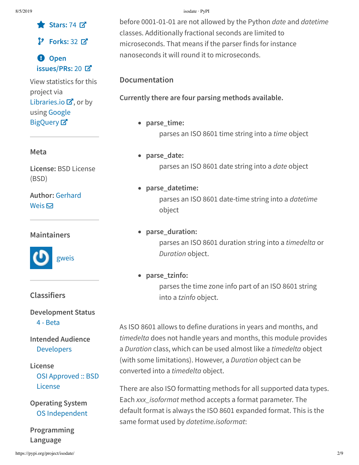ɕ **Stars:** 74 æ

**Forks:** 32 æ

á **Open issues/PRs:** 20 æ

View statistics for this project via Libraries.io  $\mathbf{Z}$ , or by using Google **BigQuery**<sub>¤</sub>

#### **Meta**

**License:** BSD License (BSD)

**Author:** Gerhard Weis $\overline{\mathbf{\Sigma}}$ 

#### **Maintainers**



#### **Classifiers**

#### **Development Status** 4 - Beta

### **Intended Audience** Developers

## **License**

OSI Approved :: BSD License

**Operating System** OS Independent

**Programming Language**

#### 8/5/2019 isodate · PyPI

before 0001-01-01 are not allowed by the Python *date* and *datetime* classes. Additionally fractional seconds are limited to microseconds. That means if the parser finds for instance nanoseconds it will round it to microseconds.

#### **Documentation**

**Currently there are four parsing methods available.**

- **parse\_time:** parses an ISO 8601 time string into a *time* object
- **parse\_date:** parses an ISO 8601 date string into a *date* object
- **parse\_datetime:** parses an ISO 8601 date-time string into a *datetime* object
- **parse\_duration:**

parses an ISO 8601 duration string into a *timedelta* or *Duration* object.

**parse\_tzinfo:**

parses the time zone info part of an ISO 8601 string into a *tzinfo* object.

As ISO 8601 allows to define durations in years and months, and *timedelta* does not handle years and months, this module provides a *Duration* class, which can be used almost like a *timedelta* object (with some limitations). However, a *Duration* object can be converted into a *timedelta* object.

There are also ISO formatting methods for all supported data types. Each *xxx\_isoformat* method accepts a format parameter. The default format is always the ISO 8601 expanded format. This is the same format used by *datetime.isoformat*: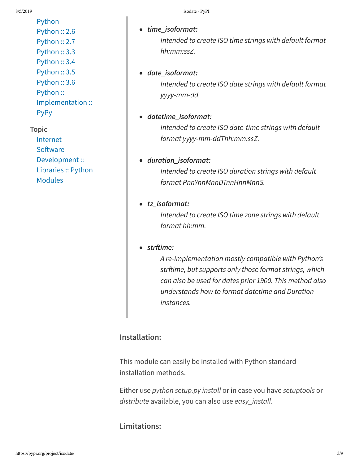Python Python :: 2.6 Python :: 2.7 Python :: 3.3 Python :: 3.4 Python :: 3.5 Python :: 3.6 Python :: Implementation :: **PyPy** 

#### **Topic**

Internet Software Development :: Libraries :: Python Modules

# *time\_isoformat:*

*Intended to create ISO time strings with default format hh:mm:ssZ.*

#### *date\_isoformat:*

*Intended to create ISO date strings with default format yyyy-mm-dd.*

#### *datetime\_isoformat:*

*Intended to create ISO date-time strings with default format yyyy-mm-ddThh:mm:ssZ.*

### *duration\_isoformat:*

*Intended to create ISO duration strings with default format PnnYnnMnnDTnnHnnMnnS.*

#### *tz\_isoformat:*

*Intended to create ISO time zone strings with default format hh:mm.*

#### *strime:*

*A re-implementation mostly compatible with Python's strime, but supports only those format strings, which can also be used for dates prior 1900. This method also understands how to format datetime and Duration instances.*

## **Installation:**

This module can easily be installed with Python standard installation methods.

Either use *python setup.py install* or in case you have *setuptools* or *distribute* available, you can also use *easy\_install*.

## **Limitations:**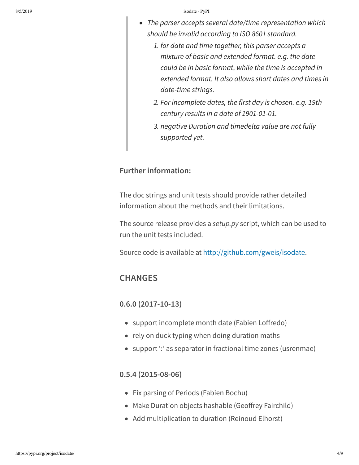- *The parser accepts several date/time representation which should be invalid according to ISO 8601 standard.*
	- *1. for date and time together, this parser accepts a mixture of basic and extended format. e.g. the date could be in basic format, while the time is accepted in extended format. It also allows short dates and times in date-time strings.*
	- *2. For incomplete dates, the first day is chosen. e.g. 19th century results in a date of 1901-01-01.*
	- *3. negative Duration and timedelta value are not fully supported yet.*

#### **Further information:**

The doc strings and unit tests should provide rather detailed information about the methods and their limitations.

The source release provides a *setup.py* script, which can be used to run the unit tests included.

Source code is available at http://github.com/gweis/isodate.

### **CHANGES**

#### **0.6.0 (2017-10-13)**

- support incomplete month date (Fabien Loffredo)
- rely on duck typing when doing duration maths
- support ": as separator in fractional time zones (usrenmae)

#### **0.5.4 (2015-08-06)**

- Fix parsing of Periods (Fabien Bochu)
- Make Duration objects hashable (Geoffrey Fairchild)
- Add multiplication to duration (Reinoud Elhorst)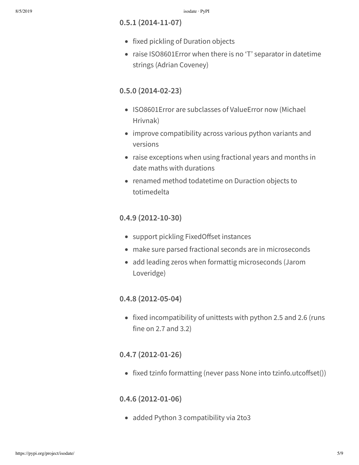#### **0.5.1 (2014-11-07)**

- fixed pickling of Duration objects
- raise ISO8601Error when there is no 'T' separator in datetime strings (Adrian Coveney)

#### **0.5.0 (2014-02-23)**

- ISO8601Error are subclasses of ValueError now (Michael Hrivnak)
- improve compatibility across various python variants and versions
- raise exceptions when using fractional years and months in date maths with durations
- renamed method todatetime on Duraction objects to totimedelta

#### **0.4.9 (2012-10-30)**

- support pickling FixedOffset instances
- make sure parsed fractional seconds are in microseconds
- add leading zeros when formattig microseconds (Jarom Loveridge)

#### **0.4.8 (2012-05-04)**

• fixed incompatibility of unittests with python 2.5 and 2.6 (runs fine on 2.7 and 3.2)

#### **0.4.7 (2012-01-26)**

• fixed tzinfo formatting (never pass None into tzinfo.utcoffset $()$ )

#### **0.4.6 (2012-01-06)**

• added Python 3 compatibility via 2to3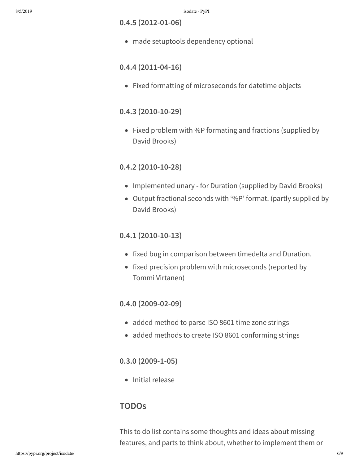**0.4.5 (2012-01-06)**

made setuptools dependency optional

#### **0.4.4 (2011-04-16)**

• Fixed formatting of microseconds for datetime objects

#### **0.4.3 (2010-10-29)**

• Fixed problem with %P formating and fractions (supplied by David Brooks)

### **0.4.2 (2010-10-28)**

- Implemented unary for Duration (supplied by David Brooks)
- Output fractional seconds with '%P' format. (partly supplied by David Brooks)

#### **0.4.1 (2010-10-13)**

- fixed bug in comparison between timedelta and Duration.
- fixed precision problem with microseconds (reported by Tommi Virtanen)

#### **0.4.0 (2009-02-09)**

- added method to parse ISO 8601 time zone strings
- added methods to create ISO 8601 conforming strings

#### **0.3.0 (2009-1-05)**

• Initial release

#### **TODOs**

This to do list contains some thoughts and ideas about missing features, and parts to think about, whether to implement them or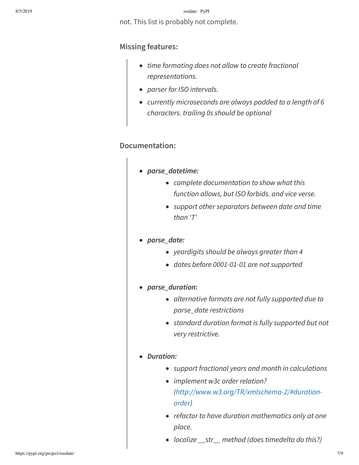#### 8/5/2019 isodate · PyPI

not. This list is probably not complete.

#### **Missing features:**

- *time formating does not allow to create fractional representations.*
- *parser for ISO intervals.*
- *currently microseconds are always padded to a length of 6 characters. trailing 0s should be optional*

#### **Documentation:**

- *parse\_datetime:*
	- *complete documentation to show what this function allows, but ISO forbids. and vice verse.*
	- *support other separators between date and time than 'T'*

#### *parse\_date:*

- *yeardigits should be always greater than 4*
- *dates before 0001-01-01 are not supported*
- *parse\_duration:*
	- *alternative formats are not fully supported due to parse\_date restrictions*
	- *standard duration format is fully supported but not very restrictive.*

#### *Duration:*

- *support fractional years and month in calculations*
- *implement w3c order relation? (http://www.w3.org/TR/xmlschema-2/#durationorder)*
- *refactor to have duration mathematics only at one place.*
- *localize \_\_str\_\_ method (does timedelta do this?)*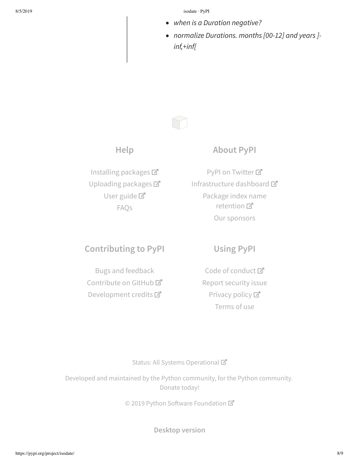8/5/2019 isodate · PyPI

- *when is a Duration negative?*
- *normalize Durations. months [00-12] and years ] inf,+inf[*



### **About PyPI**

Installing packages Uploading packages User guide<sup>T</sup> FAQs

PyPI on Twitter<sup>7</sup> Infrastructure dashboard Package index name retention 口 Our sponsors

## **Contributing to PyPI**

Bugs and feedback Contribute on GitHub<sup>C</sup> Development credits

## **Using PyPI**

Code of conduct<sup>™</sup> Report security issue Privacy policy<sup>[2]</sup> Terms of use

#### Status: All Systems Operational

Developed and maintained by the Python community, for the Python community. Donate today!

© 2019 Python Software Foundation

**Desktop version**